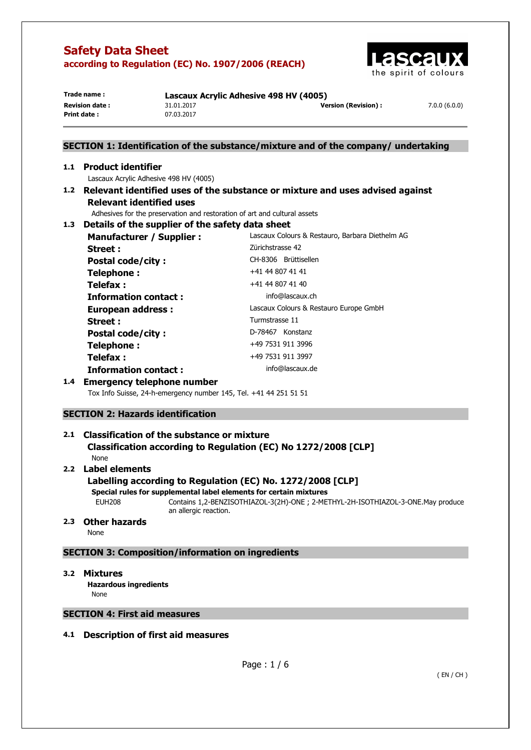

| Trade name:           | Lascaux Acrylic Adhesive 498 HV (4005) |                            |              |
|-----------------------|----------------------------------------|----------------------------|--------------|
| <b>Revision date:</b> | 31.01.2017                             | <b>Version (Revision):</b> | 7.0.0(6.0.0) |
| Print date:           | 07.03.2017                             |                            |              |

## **SECTION 1: Identification of the substance/mixture and of the company/ undertaking**

### **1.1 Product identifier**

Lascaux Acrylic Adhesive 498 HV (4005)

**1.2 Relevant identified uses of the substance or mixture and uses advised against Relevant identified uses** 

Adhesives for the preservation and restoration of art and cultural assets

## **1.3 Details of the supplier of the safety data sheet**

| Manufacturer / Supplier :   | Lascaux Colours & Restauro, Barbara Diethelm AG |
|-----------------------------|-------------------------------------------------|
| Street :                    | Zürichstrasse 42                                |
| <b>Postal code/city:</b>    | CH-8306 Brüttisellen                            |
| Telephone:                  | +41 44 807 41 41                                |
| Telefax :                   | +41 44 807 41 40                                |
| <b>Information contact:</b> | info@lascaux.ch                                 |
| <b>European address:</b>    | Lascaux Colours & Restauro Europe GmbH          |
| <b>Street:</b>              | Turmstrasse 11                                  |
| <b>Postal code/city:</b>    | D-78467 Konstanz                                |
| Telephone:                  | +49 7531 911 3996                               |
| Telefax :                   | +49 7531 911 3997                               |
| <b>Information contact:</b> | info@lascaux.de                                 |

## **1.4 Emergency telephone number**

Tox Info Suisse, 24-h-emergency number 145, Tel. +41 44 251 51 51

## **SECTION 2: Hazards identification**

## **2.1 Classification of the substance or mixture Classification according to Regulation (EC) No 1272/2008 [CLP]**

None

## **2.2 Label elements**

## **Labelling according to Regulation (EC) No. 1272/2008 [CLP]**

**Special rules for supplemental label elements for certain mixtures** 

EUH208 Contains 1,2-BENZISOTHIAZOL-3(2H)-ONE ; 2-METHYL-2H-ISOTHIAZOL-3-ONE.May produce an allergic reaction.

## **2.3 Other hazards**

None

## **SECTION 3: Composition/information on ingredients**

#### **3.2 Mixtures**

**Hazardous ingredients None** 

## **SECTION 4: First aid measures**

## **4.1 Description of first aid measures**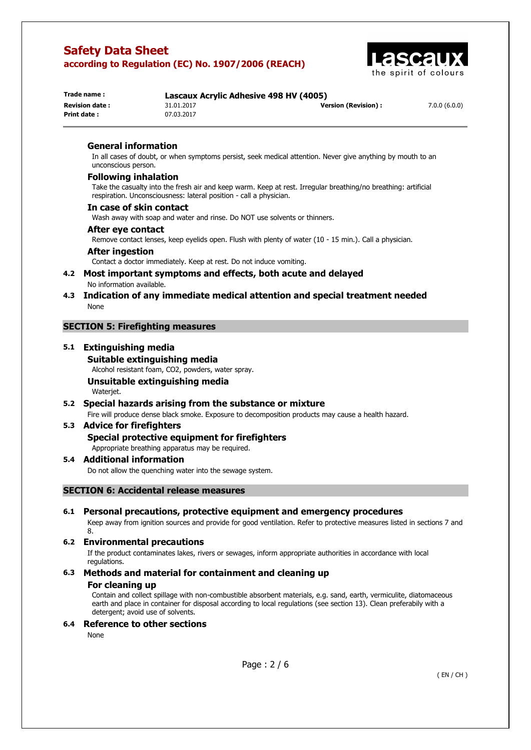

| Trade name:            | Lascaux Acrylic Adhesive 498 HV (4005) |                      |              |
|------------------------|----------------------------------------|----------------------|--------------|
| <b>Revision date :</b> | 31.01.2017                             | Version (Revision) : | 7.0.0(6.0.0) |
| Print date :           | 07.03.2017                             |                      |              |

## **General information**

In all cases of doubt, or when symptoms persist, seek medical attention. Never give anything by mouth to an unconscious person.

#### **Following inhalation**

Take the casualty into the fresh air and keep warm. Keep at rest. Irregular breathing/no breathing: artificial respiration. Unconsciousness: lateral position - call a physician.

#### **In case of skin contact**

Wash away with soap and water and rinse. Do NOT use solvents or thinners.

#### **After eye contact**

Remove contact lenses, keep eyelids open. Flush with plenty of water (10 - 15 min.). Call a physician.

#### **After ingestion**

Contact a doctor immediately. Keep at rest. Do not induce vomiting.

### **4.2 Most important symptoms and effects, both acute and delayed**  No information available.

## **4.3 Indication of any immediate medical attention and special treatment needed**  None

## **SECTION 5: Firefighting measures**

### **5.1 Extinguishing media**

**Suitable extinguishing media**  Alcohol resistant foam, CO2, powders, water spray.

#### **Unsuitable extinguishing media**  Waterjet.

# **5.2 Special hazards arising from the substance or mixture**

## Fire will produce dense black smoke. Exposure to decomposition products may cause a health hazard.

## **5.3 Advice for firefighters**

## **Special protective equipment for firefighters**

Appropriate breathing apparatus may be required.

## **5.4 Additional information**

Do not allow the quenching water into the sewage system.

## **SECTION 6: Accidental release measures**

## **6.1 Personal precautions, protective equipment and emergency procedures**

Keep away from ignition sources and provide for good ventilation. Refer to protective measures listed in sections 7 and 8.

## **6.2 Environmental precautions**

If the product contaminates lakes, rivers or sewages, inform appropriate authorities in accordance with local regulations.

## **6.3 Methods and material for containment and cleaning up**

#### **For cleaning up**

Contain and collect spillage with non-combustible absorbent materials, e.g. sand, earth, vermiculite, diatomaceous earth and place in container for disposal according to local regulations (see section 13). Clean preferabily with a detergent; avoid use of solvents.

## **6.4 Reference to other sections**

None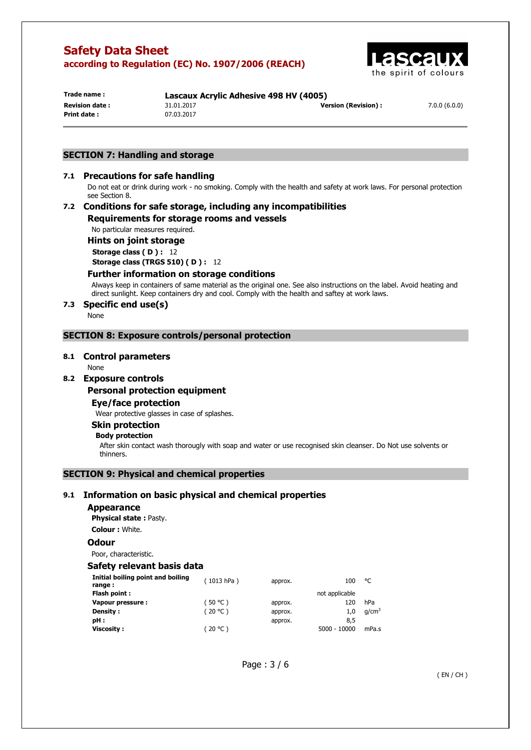

**Print date :** 07.03.2017

**Trade name : Lascaux Acrylic Adhesive 498 HV (4005) Revision date :** 31.01.2017 **Version (Revision) :** 7.0.0 (6.0.0)

## **SECTION 7: Handling and storage**

## **7.1 Precautions for safe handling**

Do not eat or drink during work - no smoking. Comply with the health and safety at work laws. For personal protection see Section 8.

## **7.2 Conditions for safe storage, including any incompatibilities Requirements for storage rooms and vessels**

No particular measures required.

**Hints on joint storage** 

**Storage class ( D ) :** 12 **Storage class (TRGS 510) ( D ) :** 12

## **Further information on storage conditions**

Always keep in containers of same material as the original one. See also instructions on the label. Avoid heating and direct sunlight. Keep containers dry and cool. Comply with the health and saftey at work laws.

## **7.3 Specific end use(s)**

None

## **SECTION 8: Exposure controls/personal protection**

#### **8.1 Control parameters**

None

## **8.2 Exposure controls**

#### **Personal protection equipment**

**Eye/face protection** 

Wear protective glasses in case of splashes.

## **Skin protection**

#### **Body protection**

After skin contact wash thorougly with soap and water or use recognised skin cleanser. Do Not use solvents or thinners.

## **SECTION 9: Physical and chemical properties**

## **9.1 Information on basic physical and chemical properties**

#### **Appearance**

**Physical state :** Pasty.

**Colour :** White.

## **Odour**

Poor, characteristic.

## **Safety relevant basis data**

| Initial boiling point and boiling<br>range : | (1013 hPa) | approx. | 100            | °C                |
|----------------------------------------------|------------|---------|----------------|-------------------|
| Flash point:                                 |            |         | not applicable |                   |
| Vapour pressure :                            | (50 °C )   | approx. | 120            | hPa               |
| <b>Density:</b>                              | (20 °C)    | approx. | 1.0            | q/cm <sup>3</sup> |
| pH :                                         |            | approx. | 8,5            |                   |
| <b>Viscosity:</b>                            | (20 °C )   |         | $5000 - 10000$ | mPa.s             |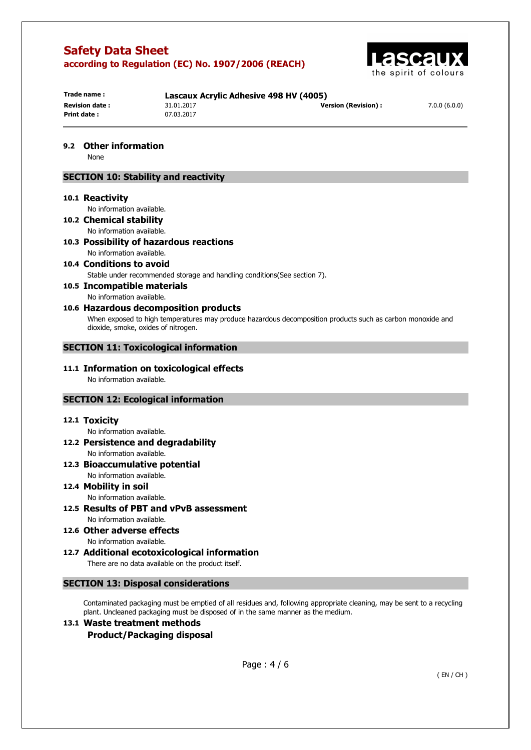

| Trade name :          |            | Lascaux Acrylic Adhesive 498 HV (4005) |              |  |
|-----------------------|------------|----------------------------------------|--------------|--|
| <b>Revision date:</b> | 31.01.2017 | <b>Version (Revision):</b>             | 7.0.0(6.0.0) |  |
| Print date:           | 07.03.2017 |                                        |              |  |

**9.2 Other information** 

None

## **SECTION 10: Stability and reactivity**

#### **10.1 Reactivity**

No information available.

- **10.2 Chemical stability**  No information available.
- **10.3 Possibility of hazardous reactions**  No information available.
- **10.4 Conditions to avoid**  Stable under recommended storage and handling conditions(See section 7).
- **10.5 Incompatible materials**

## No information available.

## **10.6 Hazardous decomposition products**

When exposed to high temperatures may produce hazardous decomposition products such as carbon monoxide and dioxide, smoke, oxides of nitrogen.

## **SECTION 11: Toxicological information**

#### **11.1 Information on toxicological effects**  No information available.

## **SECTION 12: Ecological information**

#### **12.1 Toxicity**

No information available.

- **12.2 Persistence and degradability**  No information available.
- **12.3 Bioaccumulative potential**  No information available.

#### **12.4 Mobility in soil**  No information available.

**12.5 Results of PBT and vPvB assessment**  No information available.

**12.6 Other adverse effects** 

No information available. **12.7 Additional ecotoxicological information** 

There are no data available on the product itself.

## **SECTION 13: Disposal considerations**

Contaminated packaging must be emptied of all residues and, following appropriate cleaning, may be sent to a recycling plant. Uncleaned packaging must be disposed of in the same manner as the medium.

## **13.1 Waste treatment methods Product/Packaging disposal**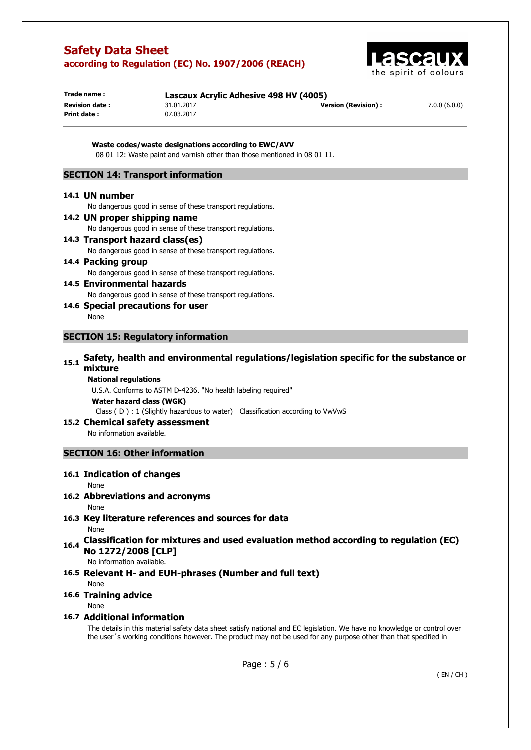

| Trade name:            | Lascaux Acrylic Adhesive 498 HV (4005) |                            |              |
|------------------------|----------------------------------------|----------------------------|--------------|
| <b>Revision date :</b> | 31.01.2017                             | <b>Version (Revision):</b> | 7.0.0(6.0.0) |
| Print date:            | 07.03.2017                             |                            |              |

**Waste codes/waste designations according to EWC/AVV**  08 01 12: Waste paint and varnish other than those mentioned in 08 01 11.

## **SECTION 14: Transport information**

#### **14.1 UN number**

No dangerous good in sense of these transport regulations.

**14.2 UN proper shipping name**  No dangerous good in sense of these transport regulations. **14.3 Transport hazard class(es)** 

No dangerous good in sense of these transport regulations.

- **14.4 Packing group**  No dangerous good in sense of these transport regulations.
- **14.5 Environmental hazards**  No dangerous good in sense of these transport regulations.
- **14.6 Special precautions for user**  None

#### **SECTION 15: Regulatory information**

## **15.1 Safety, health and environmental regulations/legislation specific for the substance or mixture**

#### **National regulations**

U.S.A. Conforms to ASTM D-4236. "No health labeling required"

**Water hazard class (WGK)** 

Class ( D ) : 1 (Slightly hazardous to water) Classification according to VwVwS

#### **15.2 Chemical safety assessment**

No information available.

## **SECTION 16: Other information**

## **16.1 Indication of changes**

#### None

## **16.2 Abbreviations and acronyms**

#### None

**16.3 Key literature references and sources for data** 

None

**16.4 Classification for mixtures and used evaluation method according to regulation (EC) No 1272/2008 [CLP]** 

No information available.

## **16.5 Relevant H- and EUH-phrases (Number and full text)**

None

## **16.6 Training advice**

#### None

## **16.7 Additional information**

The details in this material safety data sheet satisfy national and EC legislation. We have no knowledge or control over the user´s working conditions however. The product may not be used for any purpose other than that specified in